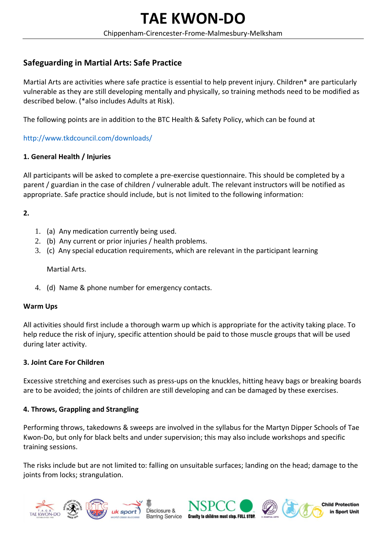# **Safeguarding in Martial Arts: Safe Practice**

Martial Arts are activities where safe practice is essential to help prevent injury. Children\* are particularly vulnerable as they are still developing mentally and physically, so training methods need to be modified as described below. (\*also includes Adults at Risk).

The following points are in addition to the BTC Health & Safety Policy, which can be found at

## http://www.tkdcouncil.com/downloads/

### **1. General Health / Injuries**

All participants will be asked to complete a pre‐exercise questionnaire. This should be completed by a parent / guardian in the case of children / vulnerable adult. The relevant instructors will be notified as appropriate. Safe practice should include, but is not limited to the following information:

### **2.**

- 1. (a) Any medication currently being used.
- 2. (b) Any current or prior injuries / health problems.
- 3. (c) Any special education requirements, which are relevant in the participant learning

Martial Arts.

4. (d) Name & phone number for emergency contacts.

#### **Warm Ups**

All activities should first include a thorough warm up which is appropriate for the activity taking place. To help reduce the risk of injury, specific attention should be paid to those muscle groups that will be used during later activity.

#### **3. Joint Care For Children**

Excessive stretching and exercises such as press‐ups on the knuckles, hitting heavy bags or breaking boards are to be avoided; the joints of children are still developing and can be damaged by these exercises.

#### **4. Throws, Grappling and Strangling**

Performing throws, takedowns & sweeps are involved in the syllabus for the Martyn Dipper Schools of Tae Kwon‐Do, but only for black belts and under supervision; this may also include workshops and specific training sessions.

The risks include but are not limited to: falling on unsuitable surfaces; landing on the head; damage to the joints from locks; strangulation.





Disclosure & Barring Service Cruelty to children must stop. FULL STOP





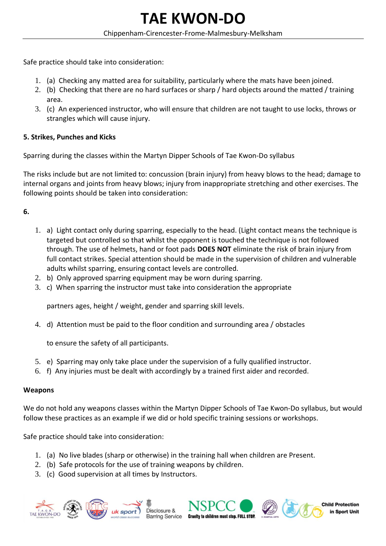Safe practice should take into consideration:

- 1. (a) Checking any matted area for suitability, particularly where the mats have been joined.
- 2. (b) Checking that there are no hard surfaces or sharp / hard objects around the matted / training area.
- 3. (c) An experienced instructor, who will ensure that children are not taught to use locks, throws or strangles which will cause injury.

## **5. Strikes, Punches and Kicks**

Sparring during the classes within the Martyn Dipper Schools of Tae Kwon‐Do syllabus

The risks include but are not limited to: concussion (brain injury) from heavy blows to the head; damage to internal organs and joints from heavy blows; injury from inappropriate stretching and other exercises. The following points should be taken into consideration:

## **6.**

- 1. a) Light contact only during sparring, especially to the head. (Light contact means the technique is targeted but controlled so that whilst the opponent is touched the technique is not followed through. The use of helmets, hand or foot pads **DOES NOT** eliminate the risk of brain injury from full contact strikes. Special attention should be made in the supervision of children and vulnerable adults whilst sparring, ensuring contact levels are controlled.
- 2. b) Only approved sparring equipment may be worn during sparring.
- 3. c) When sparring the instructor must take into consideration the appropriate

partners ages, height / weight, gender and sparring skill levels.

4. d) Attention must be paid to the floor condition and surrounding area / obstacles

to ensure the safety of all participants.

- 5. e) Sparring may only take place under the supervision of a fully qualified instructor.
- 6. f) Any injuries must be dealt with accordingly by a trained first aider and recorded.

# **Weapons**

We do not hold any weapons classes within the Martyn Dipper Schools of Tae Kwon‐Do syllabus, but would follow these practices as an example if we did or hold specific training sessions or workshops.

Safe practice should take into consideration:

1. (a) No live blades (sharp or otherwise) in the training hall when children are Present.

Disclosure &

- 2. (b) Safe protocols for the use of training weapons by children.
- 3. (c) Good supervision at all times by Instructors.









**Child Protection** in Sport Unit